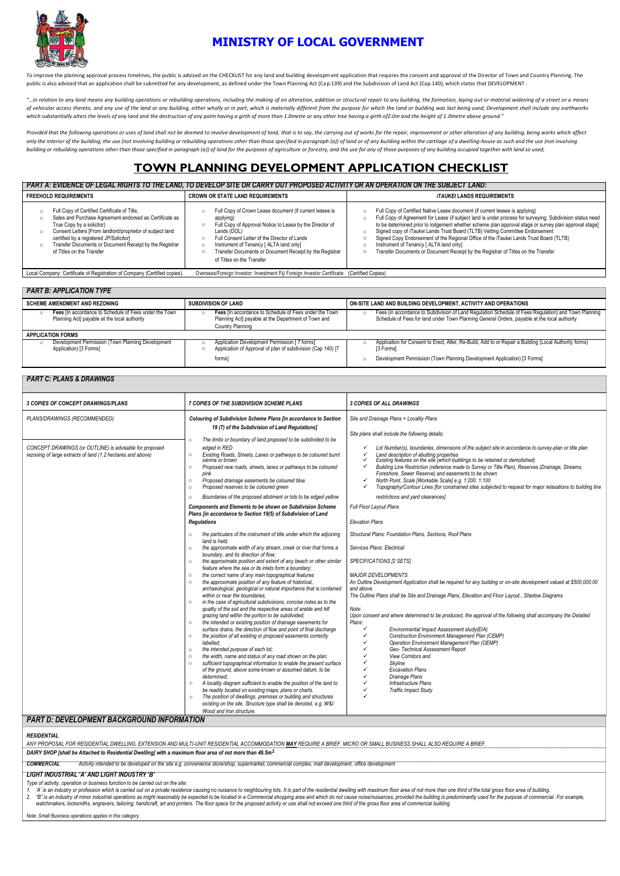

# **MINISTRY OF LOCAL GOVERNMENT**

To improve the planning approval process timelines, the public is advised on the CHECKLIST for any land and building development application that requires the consent and approval of the Director of Town and Country Planni public is also advised that an application shall be submitted for any development, as defined under the Town Planning Act (Cap.139) and the Subdivision of Land Act (Cap.140), which states that DEVELOPMENT :

"...in relation to any land means any building operations or rebuilding operations, including the making of an alteration, addition or structural repair to any building, the formation, laying out or material widening of a of vehicular access thereto, and any use of the land or any building, either wholly or in part, which is materially different from the purpose for which the land or building was last being used; Development shall include a *which substantially alters the levels of any land and the destruction of any palm having a girth of more than 1.0metre or any other tree having a girth of2.0m and the height of 1.0metre above ground."*

Provided that the following operations or uses of land shall not be deemed to involve development of land, that is to say, the carrying out of works for the repair, improvement or other alteration of any building, being wo only the interior of the building; the use (not involving building or rebuilding operations other than those specified in paragraph (a)) of land or of any building within the cartilage of a dwelling-house as such and the u building or rebuilding operations other than those specified in paragraph (a)) of land for the purposes of agriculture or forestry, and the use for any of those purposes of any building occupied together with land so used;

#### *PART B: APPLICATION TYPE* SCHEME AMENDMENT AND REZONING **SUBDIVISION OF LAND** SUBDIVISION OF LAND Fees [In accordance to Schedule of Fees under the Town Tees [In accordance to Schedule of Fees under the Town Planning Act] payable at the local authority Planning Act] payable at the local authority Planning Act] payable Planning Act] payable at the local authority **Planning Act] payable at the Department of Town and** Schedule of Fees for land under Town Planning General Orders, payable at the local authority Country Planning **APPLICATION FORMS** Development Permission (Town Planning Development **o Application Development Permission [ 7 forms]** o Application for Consent to Erect, Alter, Re-Build, Add to or Repair a Building (Local Authority forms) o Application of Application of Approval of plan of subdivision (Cap 140) [7 o [3 Forms] forms] **Development Permission (Town Planning Development Application) [3 Forms] Development Application**) [3 Forms]

# **TOWN PLANNING DEVELOPMENT APPLICATION CHECKLIST**

*PART A: EVIDENCE OF LEGAL RIGHTS TO THE LAND, TO DEVELOP SITE OR CARRY OUT PROPOSED ACTIVITY OR AN OPERATION ON THE SUBJECT LAND:*

| <b>FREEHOLD REQUIREMENTS</b>                                                                                                                                                                                                                                                                                                                               | <b>CROWN OR STATE LAND REQUIREMENTS</b>                                                                                                                                                                                                                                                                                            | <i><b>ITAUKEI LANDS REQUIREMENTS</b></i>                                                                                                                                                                                                                                                                                                                                                                                                                                                                                                                                                                                         |
|------------------------------------------------------------------------------------------------------------------------------------------------------------------------------------------------------------------------------------------------------------------------------------------------------------------------------------------------------------|------------------------------------------------------------------------------------------------------------------------------------------------------------------------------------------------------------------------------------------------------------------------------------------------------------------------------------|----------------------------------------------------------------------------------------------------------------------------------------------------------------------------------------------------------------------------------------------------------------------------------------------------------------------------------------------------------------------------------------------------------------------------------------------------------------------------------------------------------------------------------------------------------------------------------------------------------------------------------|
| Full Copy of Certified Certificate of Title,<br>Sales and Purchase Agreement-endorsed as Certificate as<br>$\circ$<br>True Copy by a solicitor)<br>Consent Letters [From landlord/proprietor of subject land<br>$\circ$<br>certified by a registered JP/Solicitor]<br>Transfer Documents or Document Receipt by the Registrar<br>of Titles on the Transfer | Full Copy of Crown Lease document (if current lessee is<br>applying)<br>Full Copy of Approval Notice to Lease by the Director of<br>Lands (DOL)<br>Full Consent Letter of the Director of Lands<br>Instrument of Tenancy [ ALTA land only]<br>Transfer Documents or Document Receipt by the Registrar<br>of Titles on the Transfer | $\circ$ Full Copy of Certified Native Lease document (if current lessee is applying)<br>Full Copy of Agreement for Lease (if subject land is under process for surveying; Subdivision status need<br>$\circ$<br>to be determined prior to lodgement whether scheme plan approval stage or survey plan approval stage]<br>Signed copy of iTaukei Lands Trust Board (TLTB) Vetting Committee Endorsement<br>Signed Copy Endorsement of the Regional Office of the iTaukei Lands Trust Board (TLTB)<br>Instrument of Tenancy [ ALTA land only]<br>Transfer Documents or Document Receipt by the Registrar of Titles on the Transfer |
| Local Company: Certificate of Registration of Company (Certified copies).                                                                                                                                                                                                                                                                                  | Overseas/Foreign Investor: Investment Fiji Foreign Investor Certificate (Certified Copies)                                                                                                                                                                                                                                         |                                                                                                                                                                                                                                                                                                                                                                                                                                                                                                                                                                                                                                  |

## *PART C: PLANS & DRAWINGS*

| <b>3 COPIES OF CONCEPT DRAWINGS/PLANS</b>                                                                                                                                                                                                                                                                                                                                                                                                                                                                                                                                                                                                                                                                                                                                                                                                                                                                                                                                                                                                                                                                                                                                                                                                                                                                                                                               | 7 COPIES OF THE SUBDIVISION SCHEME PLANS                                                                                                                                                                                                                                                                                                                                                                                                                                                                                                                                                                                                                                                                                                                                                                                                                                                                                                                                                                                                                                                                                                                                                                                                                                                                                                                                                                                                                                                                                                                                                                                                                                                                                                                                                                                                                                                                                                                                                                                                                                                                                                                                                                                                                                                                                                                                                                                                 | <b>3 COPIES OF ALL DRAWINGS</b>                                                                                                                                                                                                                                                                                                                                                                                                                                                                                                                                                                                                                                                                                                                                                                                                                                                                                                                                                                                                                                                                                                                                                                                                                                                                                                                                                                                                                                                                                                                                                                                                                                                                                                                                                                                                                                                           |
|-------------------------------------------------------------------------------------------------------------------------------------------------------------------------------------------------------------------------------------------------------------------------------------------------------------------------------------------------------------------------------------------------------------------------------------------------------------------------------------------------------------------------------------------------------------------------------------------------------------------------------------------------------------------------------------------------------------------------------------------------------------------------------------------------------------------------------------------------------------------------------------------------------------------------------------------------------------------------------------------------------------------------------------------------------------------------------------------------------------------------------------------------------------------------------------------------------------------------------------------------------------------------------------------------------------------------------------------------------------------------|------------------------------------------------------------------------------------------------------------------------------------------------------------------------------------------------------------------------------------------------------------------------------------------------------------------------------------------------------------------------------------------------------------------------------------------------------------------------------------------------------------------------------------------------------------------------------------------------------------------------------------------------------------------------------------------------------------------------------------------------------------------------------------------------------------------------------------------------------------------------------------------------------------------------------------------------------------------------------------------------------------------------------------------------------------------------------------------------------------------------------------------------------------------------------------------------------------------------------------------------------------------------------------------------------------------------------------------------------------------------------------------------------------------------------------------------------------------------------------------------------------------------------------------------------------------------------------------------------------------------------------------------------------------------------------------------------------------------------------------------------------------------------------------------------------------------------------------------------------------------------------------------------------------------------------------------------------------------------------------------------------------------------------------------------------------------------------------------------------------------------------------------------------------------------------------------------------------------------------------------------------------------------------------------------------------------------------------------------------------------------------------------------------------------------------------|-------------------------------------------------------------------------------------------------------------------------------------------------------------------------------------------------------------------------------------------------------------------------------------------------------------------------------------------------------------------------------------------------------------------------------------------------------------------------------------------------------------------------------------------------------------------------------------------------------------------------------------------------------------------------------------------------------------------------------------------------------------------------------------------------------------------------------------------------------------------------------------------------------------------------------------------------------------------------------------------------------------------------------------------------------------------------------------------------------------------------------------------------------------------------------------------------------------------------------------------------------------------------------------------------------------------------------------------------------------------------------------------------------------------------------------------------------------------------------------------------------------------------------------------------------------------------------------------------------------------------------------------------------------------------------------------------------------------------------------------------------------------------------------------------------------------------------------------------------------------------------------------|
| PLANS/DRAWINGS (RECOMMENDED)<br>CONCEPT DRAWINGS (or OUTLINE) is advisable for proposed<br>rezoning of large extracts of land (1.2 hectares and above)                                                                                                                                                                                                                                                                                                                                                                                                                                                                                                                                                                                                                                                                                                                                                                                                                                                                                                                                                                                                                                                                                                                                                                                                                  | Colouring of Subdivision Scheme Plans [in accordance to Section<br>19 (7) of the Subdivision of Land Regulations]<br>The limits or boundary of land proposed to be subdivided to be<br>$\circ$<br>edged in RED<br>Existing Roads, Streets, Lanes or pathways to be coloured burnt<br>$\circ$<br>sienna or brown<br>Proposed new roads, streets, lanes or pathways to be coloured<br>$\circ$<br>pink<br>Proposed drainage easements be coloured blue<br>$\circ$<br>Proposed reserves to be coloured green<br>$\circ$<br>Boundaries of the proposed allotment or lots to be edged yellow<br>$\circ$<br><b>Components and Elements to be shown on Subdivision Scheme</b><br>Plans [in accordance to Section 19(5) of Subdivision of Land<br><b>Regulations</b><br>the particulars of the instrument of title under which the adjoining<br>$\circ$<br>land is held:<br>the approximate width of any stream, creek or river that forms a<br>$\circ$<br>boundary, and its direction of flow;<br>the approximate position and extent of any beach or other similar<br>$\circ$<br>feature where the sea or its inlets form a boundary;<br>the correct name of any main topographical features<br>$\circ$<br>the approximate position of any feature of historical,<br>$\circ$<br>archaeological, geological or natural importance that is contained<br>within or near the boundaries:<br>in the case of agricultural subdivisions, concise notes as to the<br>$\circ$<br>quality of the soil and the respective areas of arable and hill<br>grazing land within the portion to be subdivided;<br>the intended or existing position of drainage easements for<br>$\circ$<br>surface drains, the direction of flow and point of final discharge<br>the position of all existing or proposed easements correctly<br>$\circ$<br>labelled:<br>the intended purpose of each lot;<br>$\circ$<br>the width, name and status of any road shown on the plan;<br>$\circ$<br>sufficient topographical information to enable the present surface<br>$\circ$<br>of the ground, above some known or assumed datum, to be<br>determined:<br>A locality diagram sufficient to enable the position of the land to<br>$\circ$<br>be readily located on existing maps, plans or charts.<br>The position of dwellings, premises or building and structures<br>$\circ$<br>existing on the site. Structure type shall be denoted, e.g. W&I:<br>Wood and Iron structure. | Site and Drainage Plans + Locality Plans<br>Site plans shall include the following details:<br>Lot Number(s), boundaries, dimensions of the subject site in accordance to survey-plan or title plan<br>Land description of abutting properties<br>$\checkmark$<br>Existing features on the site (which buildings to be retained or demolished)<br>✓<br>Building Line Restriction (reference made to Survey or Title Plan), Reserves (Drainage, Streams,<br>$\checkmark$<br>Foreshore, Sewer Reserve) and easements to be shown<br>North Point, Scale [Workable Scale] e.g. 1:200. 1:100<br>$\checkmark$<br>Topography/Contour Lines [for constrained sites subjected to request for major relaxations to building line<br>$\checkmark$<br>restrictions and yard clearances]<br>Full Floor Layout Plans<br><b>Elevation Plans</b><br>Structural Plans: Foundation Plans, Sections, Roof Plans<br>Services Plans: Electrical<br>SPECIFICATIONS [2 SETS]<br><b>MAJOR DEVELOPMENTS</b><br>An Outline Development Application shall be required for any building or on-site development valued at \$500,000.00<br>and above.<br>The Outline Plans shall be Site and Drainage Plans, Elevation and Floor Layout., Shadow Diagrams<br>Note:<br>Upon consent and where determined to be produced, the approval of the following shall accompany the Detailed<br>Plans:<br>$\checkmark$<br>Environmental Impact Assessment study(EIA)<br>$\checkmark$<br><b>Construction Environment Management Plan (CEMP)</b><br>$\checkmark$<br><b>Operation Environment Management Plan (OEMP)</b><br>Geo- Technical Assessment Report<br>$\checkmark$<br>$\checkmark$<br>View Corridors and<br>✓<br>Skyline<br>$\checkmark$<br><b>Excavation Plans</b><br>$\checkmark$<br><b>Drainage Plans</b><br>$\checkmark$<br><b>Infrastructure Plans</b><br>$\checkmark$<br><b>Traffic Impact Study</b><br>$\checkmark$ |
| <b>PART D: DEVELOPMENT BACKGROUND INFORMATION</b>                                                                                                                                                                                                                                                                                                                                                                                                                                                                                                                                                                                                                                                                                                                                                                                                                                                                                                                                                                                                                                                                                                                                                                                                                                                                                                                       |                                                                                                                                                                                                                                                                                                                                                                                                                                                                                                                                                                                                                                                                                                                                                                                                                                                                                                                                                                                                                                                                                                                                                                                                                                                                                                                                                                                                                                                                                                                                                                                                                                                                                                                                                                                                                                                                                                                                                                                                                                                                                                                                                                                                                                                                                                                                                                                                                                          |                                                                                                                                                                                                                                                                                                                                                                                                                                                                                                                                                                                                                                                                                                                                                                                                                                                                                                                                                                                                                                                                                                                                                                                                                                                                                                                                                                                                                                                                                                                                                                                                                                                                                                                                                                                                                                                                                           |
| <b>RESIDENTIAL</b><br>ANY PROPOSAL FOR RESIDENTIAL DWELLING, EXTENSION AND MULTI-UNIT RESIDENTIAL ACCOMMODATION MAY REQUIRE A BRIEF. MICRO OR SMALL BUSINESS SHALL ALSO REQUIRE A BRIEF.<br>DAIRY SHOP [shall be Attached to Residential Dwelling] with a maximum floor area of not more than 46.5m <sup>2</sup><br><b>COMMERCIAL</b><br>Activity intended to be developed on the site e.g. convenience store/shop, supermarket, commercial complex, mall development, office development<br>LIGHT INDUSTRIAL 'A' AND LIGHT INDUSTRY 'B'<br>Type of activity, operation or business function to be carried out on the site:<br>1. 'A' is an industry or profession which is carried out on a private residence causing no nuisance to neighbouring lots. It is part of the residential dwelling with maximum floor area of not more than one third of the tot<br>2. "B" is an industry of minor industrial operations as might reasonably be expected to be located in a Commercial shopping area and which do not cause noise/nuisances, provided the building is predominantly used for the p<br>watchmakers, locksmiths, engravers, tailoring, handicraft, art and printers. The floor space for the proposed activity or use shall not exceed one third of the gross floor area of commercial building<br>Note: Small Business operations applies in this category. |                                                                                                                                                                                                                                                                                                                                                                                                                                                                                                                                                                                                                                                                                                                                                                                                                                                                                                                                                                                                                                                                                                                                                                                                                                                                                                                                                                                                                                                                                                                                                                                                                                                                                                                                                                                                                                                                                                                                                                                                                                                                                                                                                                                                                                                                                                                                                                                                                                          |                                                                                                                                                                                                                                                                                                                                                                                                                                                                                                                                                                                                                                                                                                                                                                                                                                                                                                                                                                                                                                                                                                                                                                                                                                                                                                                                                                                                                                                                                                                                                                                                                                                                                                                                                                                                                                                                                           |